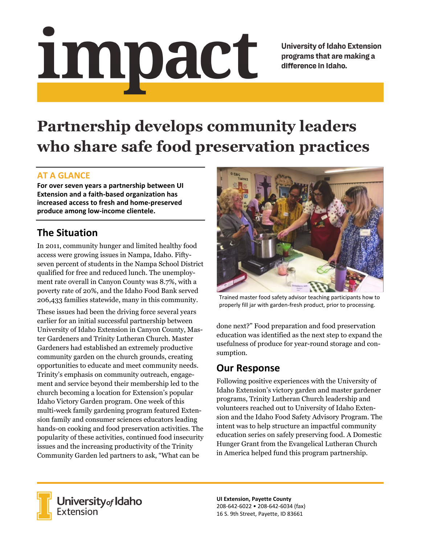# <u>impact</u>

**University of Idaho Extension** programs that are making a difference in Idaho.

# **Partnership develops community leaders who share safe food preservation practices**

### **AT A GLANCE**

**For over seven years a partnership between UI Extension and a faith‐based organization has increased access to fresh and home‐preserved produce among low‐income clientele.** 

# **The Situation**

In 2011, community hunger and limited healthy food access were growing issues in Nampa, Idaho. Fiftyseven percent of students in the Nampa School District qualified for free and reduced lunch. The unemployment rate overall in Canyon County was 8.7%, with a poverty rate of 20%, and the Idaho Food Bank served 206,433 families statewide, many in this community.

These issues had been the driving force several years earlier for an initial successful partnership between University of Idaho Extension in Canyon County, Master Gardeners and Trinity Lutheran Church. Master Gardeners had established an extremely productive community garden on the church grounds, creating opportunities to educate and meet community needs. Trinity's emphasis on community outreach, engagement and service beyond their membership led to the church becoming a location for Extension's popular Idaho Victory Garden program. One week of this multi-week family gardening program featured Extension family and consumer sciences educators leading hands-on cooking and food preservation activities. The popularity of these activities, continued food insecurity issues and the increasing productivity of the Trinity Community Garden led partners to ask, "What can be



Trained master food safety advisor teaching participants how to properly fill jar with garden‐fresh product, prior to processing.

done next?" Food preparation and food preservation education was identified as the next step to expand the usefulness of produce for year-round storage and consumption.

## **Our Response**

Following positive experiences with the University of Idaho Extension's victory garden and master gardener programs, Trinity Lutheran Church leadership and volunteers reached out to University of Idaho Extension and the Idaho Food Safety Advisory Program. The intent was to help structure an impactful community education series on safely preserving food. A Domestic Hunger Grant from the Evangelical Lutheran Church in America helped fund this program partnership.



**University** of Idaho<br>Extension

**UI Extension, Payette County**  208‐642‐6022 • 208‐642‐6034 (fax) 16 S. 9th Street, Payette, ID 83661